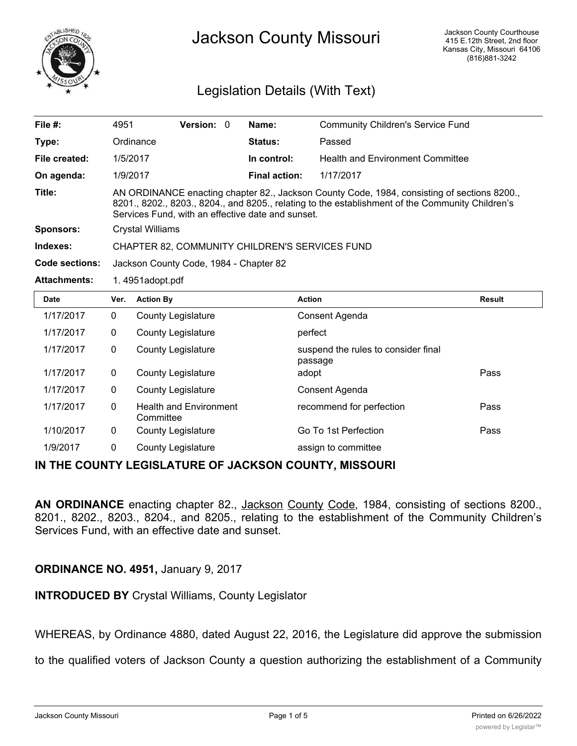

# Jackson County Missouri

## Legislation Details (With Text)

| File #:               | 4951                                                                                                                                                                                                                                                 | <b>Version: 0</b> |  | Name:                | <b>Community Children's Service Fund</b> |
|-----------------------|------------------------------------------------------------------------------------------------------------------------------------------------------------------------------------------------------------------------------------------------------|-------------------|--|----------------------|------------------------------------------|
| Type:                 | Ordinance                                                                                                                                                                                                                                            |                   |  | Status:              | Passed                                   |
| File created:         | 1/5/2017                                                                                                                                                                                                                                             |                   |  | In control:          | <b>Health and Environment Committee</b>  |
| On agenda:            | 1/9/2017                                                                                                                                                                                                                                             |                   |  | <b>Final action:</b> | 1/17/2017                                |
| Title:                | AN ORDINANCE enacting chapter 82., Jackson County Code, 1984, consisting of sections 8200.,<br>8201., 8202., 8203., 8204., and 8205., relating to the establishment of the Community Children's<br>Services Fund, with an effective date and sunset. |                   |  |                      |                                          |
| Sponsors:             | Crystal Williams                                                                                                                                                                                                                                     |                   |  |                      |                                          |
| Indexes:              | <b>CHAPTER 82, COMMUNITY CHILDREN'S SERVICES FUND</b>                                                                                                                                                                                                |                   |  |                      |                                          |
| <b>Code sections:</b> | Jackson County Code, 1984 - Chapter 82                                                                                                                                                                                                               |                   |  |                      |                                          |
| <b>Attachments:</b>   | 1.4951adopt.pdf                                                                                                                                                                                                                                      |                   |  |                      |                                          |

| <b>Date</b> | Ver. | <b>Action By</b>                           | <b>Action</b>                                  | <b>Result</b> |
|-------------|------|--------------------------------------------|------------------------------------------------|---------------|
| 1/17/2017   | 0    | <b>County Legislature</b>                  | Consent Agenda                                 |               |
| 1/17/2017   | 0    | <b>County Legislature</b>                  | perfect                                        |               |
| 1/17/2017   | 0    | <b>County Legislature</b>                  | suspend the rules to consider final<br>passage |               |
| 1/17/2017   | 0    | <b>County Legislature</b>                  | adopt                                          | Pass          |
| 1/17/2017   | 0    | <b>County Legislature</b>                  | Consent Agenda                                 |               |
| 1/17/2017   | 0    | <b>Health and Environment</b><br>Committee | recommend for perfection                       | Pass          |
| 1/10/2017   | 0    | <b>County Legislature</b>                  | Go To 1st Perfection                           | Pass          |
| 1/9/2017    | 0    | County Legislature                         | assign to committee                            |               |

#### **IN THE COUNTY LEGISLATURE OF JACKSON COUNTY, MISSOURI**

**AN ORDINANCE** enacting chapter 82., Jackson County Code, 1984, consisting of sections 8200., 8201., 8202., 8203., 8204., and 8205., relating to the establishment of the Community Children's Services Fund, with an effective date and sunset.

#### **ORDINANCE NO. 4951,** January 9, 2017

**INTRODUCED BY** Crystal Williams, County Legislator

WHEREAS, by Ordinance 4880, dated August 22, 2016, the Legislature did approve the submission

to the qualified voters of Jackson County a question authorizing the establishment of a Community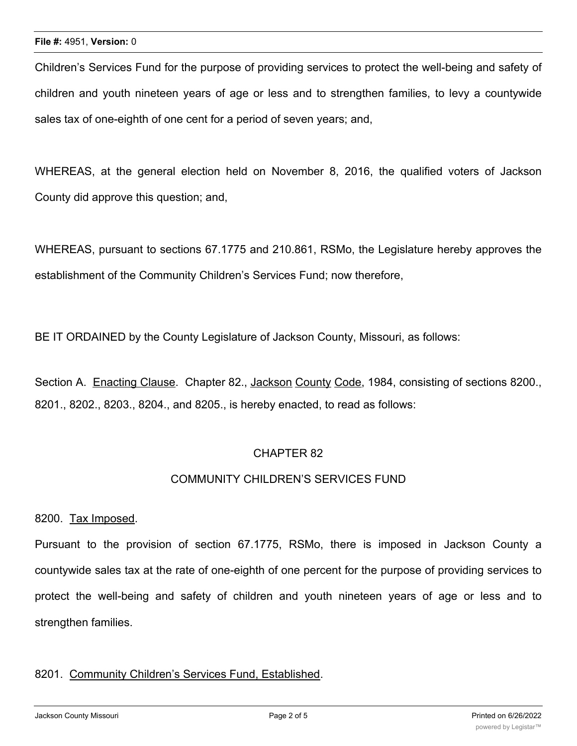Children's Services Fund for the purpose of providing services to protect the well-being and safety of children and youth nineteen years of age or less and to strengthen families, to levy a countywide sales tax of one-eighth of one cent for a period of seven years; and,

WHEREAS, at the general election held on November 8, 2016, the qualified voters of Jackson County did approve this question; and,

WHEREAS, pursuant to sections 67.1775 and 210.861, RSMo, the Legislature hereby approves the establishment of the Community Children's Services Fund; now therefore,

BE IT ORDAINED by the County Legislature of Jackson County, Missouri, as follows:

Section A. Enacting Clause. Chapter 82., Jackson County Code, 1984, consisting of sections 8200., 8201., 8202., 8203., 8204., and 8205., is hereby enacted, to read as follows:

### CHAPTER 82

#### COMMUNITY CHILDREN'S SERVICES FUND

8200. Tax Imposed.

Pursuant to the provision of section 67.1775, RSMo, there is imposed in Jackson County a countywide sales tax at the rate of one-eighth of one percent for the purpose of providing services to protect the well-being and safety of children and youth nineteen years of age or less and to strengthen families.

#### 8201. Community Children's Services Fund, Established.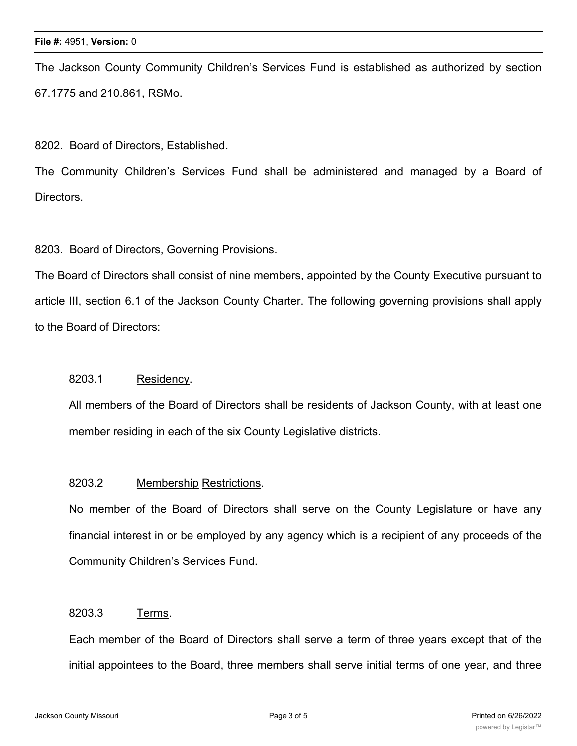#### **File #:** 4951, **Version:** 0

The Jackson County Community Children's Services Fund is established as authorized by section 67.1775 and 210.861, RSMo.

#### 8202. Board of Directors, Established.

The Community Children's Services Fund shall be administered and managed by a Board of Directors.

#### 8203. Board of Directors, Governing Provisions.

The Board of Directors shall consist of nine members, appointed by the County Executive pursuant to article III, section 6.1 of the Jackson County Charter. The following governing provisions shall apply to the Board of Directors:

#### 8203.1 Residency.

All members of the Board of Directors shall be residents of Jackson County, with at least one member residing in each of the six County Legislative districts.

#### 8203.2 Membership Restrictions.

No member of the Board of Directors shall serve on the County Legislature or have any financial interest in or be employed by any agency which is a recipient of any proceeds of the Community Children's Services Fund.

#### 8203.3 Terms.

Each member of the Board of Directors shall serve a term of three years except that of the initial appointees to the Board, three members shall serve initial terms of one year, and three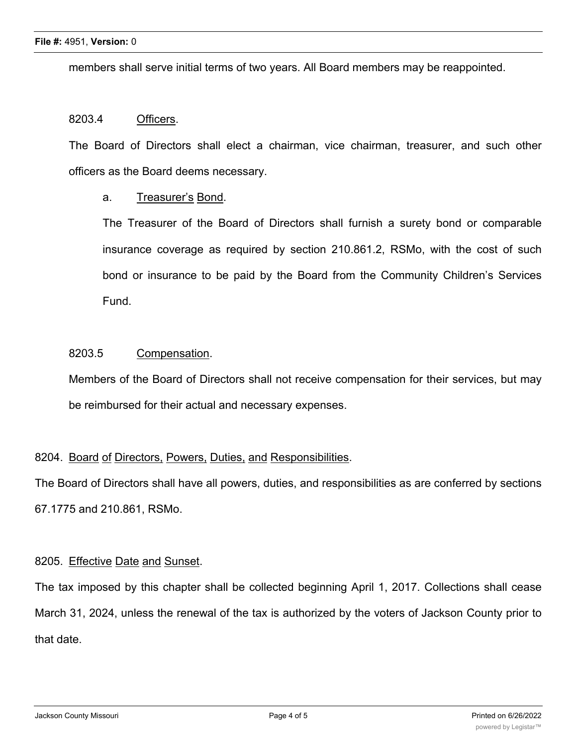members shall serve initial terms of two years. All Board members may be reappointed.

#### 8203.4 Officers.

The Board of Directors shall elect a chairman, vice chairman, treasurer, and such other officers as the Board deems necessary.

#### a. Treasurer's Bond.

The Treasurer of the Board of Directors shall furnish a surety bond or comparable insurance coverage as required by section 210.861.2, RSMo, with the cost of such bond or insurance to be paid by the Board from the Community Children's Services Fund.

#### 8203.5 Compensation.

Members of the Board of Directors shall not receive compensation for their services, but may be reimbursed for their actual and necessary expenses.

#### 8204. Board of Directors, Powers, Duties, and Responsibilities.

The Board of Directors shall have all powers, duties, and responsibilities as are conferred by sections 67.1775 and 210.861, RSMo.

#### 8205. Effective Date and Sunset.

The tax imposed by this chapter shall be collected beginning April 1, 2017. Collections shall cease March 31, 2024, unless the renewal of the tax is authorized by the voters of Jackson County prior to that date.